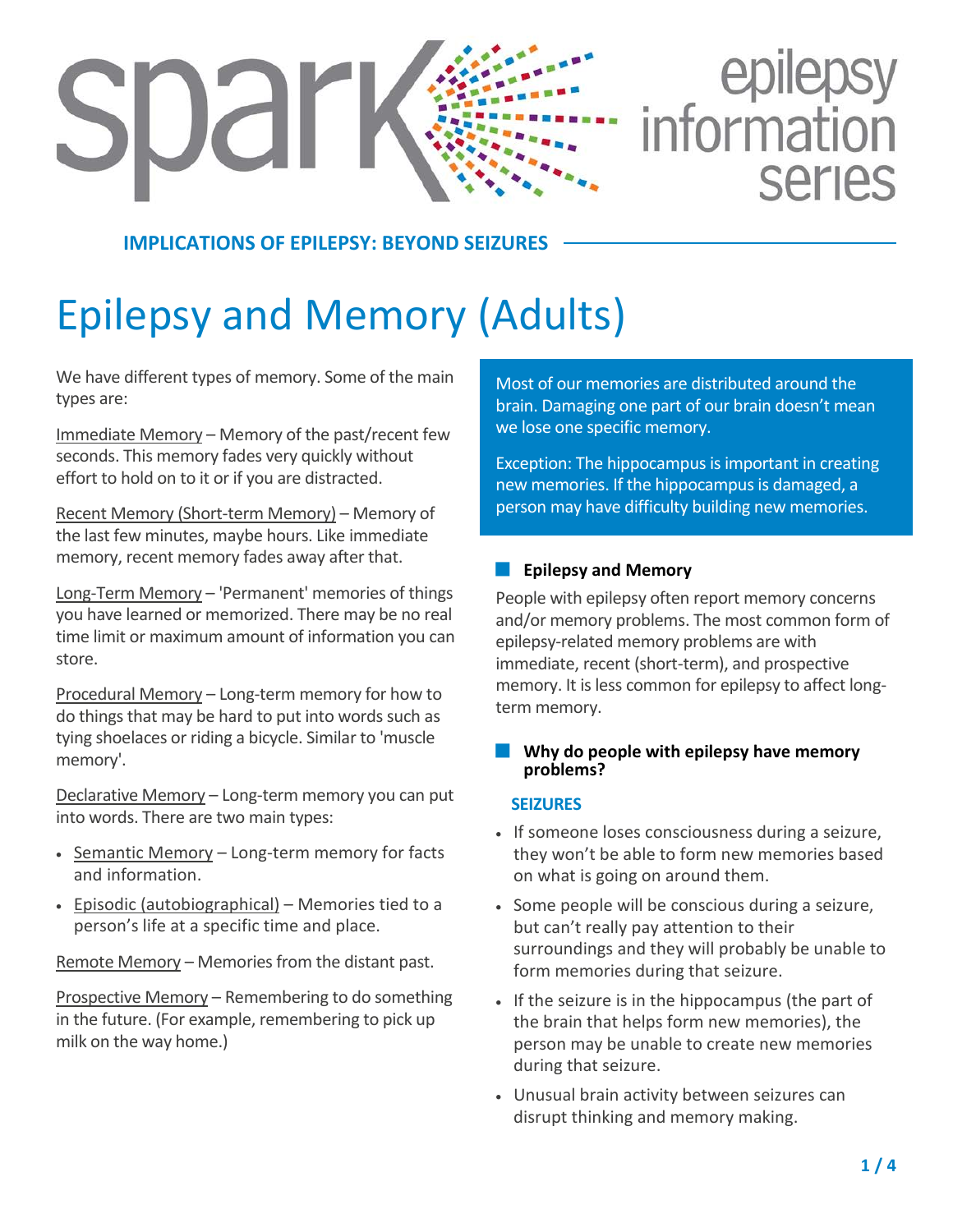# epilepsy<br>information **SDar SALIAS**

# **IMPLICATIONS OF EPILEPSY: BEYOND SEIZE**

# Epilepsy and Memory (Adults)

We have different types of memory. Some of the main types are:

Immediate Memory – Memory of the past/recent few seconds. This memory fades very quickly without effort to hold on to it or if you are distracted.

Recent Memory (Short-term Memory) – Memory of the last few minutes, maybe hours. Like immediate memory, recent memory fades away after that.

Long-Term Memory – 'Permanent' memories of things you have learned or memorized. There may be no real time limit or maximum amount of information you can store.

Procedural Memory – Long-term memory for how to do things that may be hard to put into words such as tying shoelaces or riding a bicycle. Similar to 'muscle memory'.

Declarative Memory – Long-term memory you can put into words. There are two main types:

- Semantic Memory Long-term memory for facts and information.
- Episodic (autobiographical) Memories tied to a person's life at a specific time and place.

Remote Memory – Memories from the distant past.

Prospective Memory – Remembering to do something in the future. (For example, remembering to pick up milk on the way home.)

Most of our memories are distributed around the brain. Damaging one part of our brain doesn't mean we lose one specific memory.

Exception: The hippocampus is important in creating new memories. If the hippocampus is damaged, a person may have difficulty building new memories.

## **Epilepsy and Memory**

People with epilepsy often report memory concerns and/or memory problems. The most common form of epilepsy-related memory problems are with immediate, recent (short-term), and prospective memory. It is less common for epilepsy to affect longterm memory.

#### **Why do people with epilepsy have memory problems?**

#### **SEIZURES**

- If someone loses consciousness during a seizure, they won't be able to form new memories based on what is going on around them.
- Some people will be conscious during a seizure, but can't really pay attention to their surroundings and they will probably be unable to form memories during that seizure.
- If the seizure is in the hippocampus (the part of the brain that helps form new memories), the person may be unable to create new memories during that seizure.
- Unusual brain activity between seizures can disrupt thinking and memory making.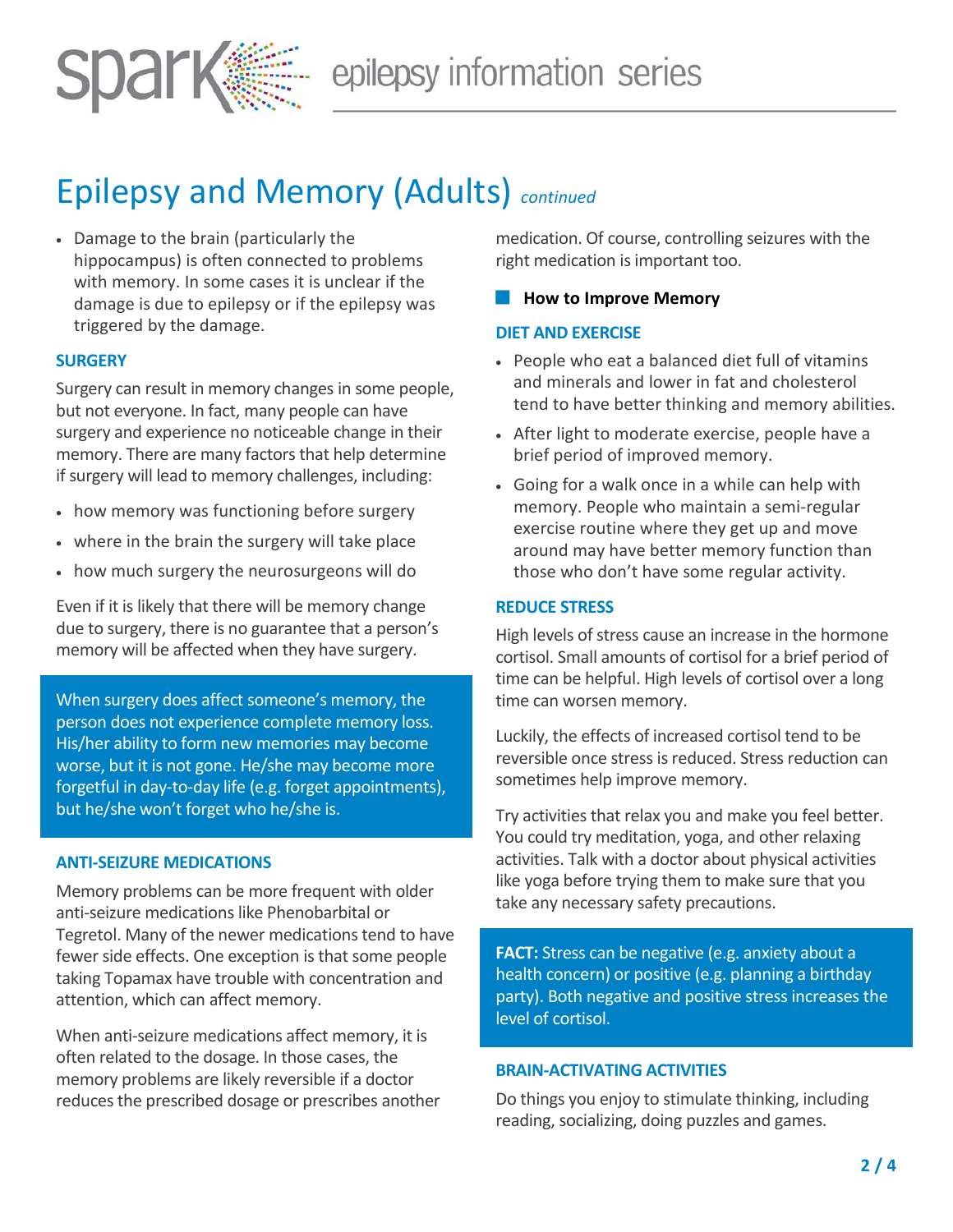

# Epilepsy and Memory (Adults) *continued*

• Damage to the brain (particularly the hippocampus) is often connected to problems with memory. In some cases it is unclear if the damage is due to epilepsy or if the epilepsy was triggered by the damage.

## **SURGERY**

Surgery can result in memory changes in some people, but not everyone. In fact, many people can have surgery and experience no noticeable change in their memory. There are many factors that help determine if surgery will lead to memory challenges, including:

- how memory was functioning before surgery
- where in the brain the surgery will take place
- how much surgery the neurosurgeons will do

Even if it is likely that there will be memory change due to surgery, there is no guarantee that a person's memory will be affected when they have surgery.

When surgery does affect someone's memory, the person does not experience complete memory loss. His/her ability to form new memories may become worse, but it is not gone. He/she may become more forgetful in day-to-day life (e.g. forget appointments), but he/she won't forget who he/she is.

#### **ANTI-SEIZURE MEDICATIONS**

Memory problems can be more frequent with older anti-seizure medications like Phenobarbital or Tegretol. Many of the newer medications tend to have fewer side effects. One exception is that some people taking Topamax have trouble with concentration and attention, which can affect memory.

When anti-seizure medications affect memory, it is often related to the dosage. In those cases, the memory problems are likely reversible if a doctor reduces the prescribed dosage or prescribes another medication. Of course, controlling seizures with the right medication is important too.

#### **How to Improve Memory**

#### **DIET AND EXERCISE**

- People who eat a balanced diet full of vitamins and minerals and lower in fat and cholesterol tend to have better thinking and memory abilities.
- After light to moderate exercise, people have a brief period of improved memory.
- Going for a walk once in a while can help with memory. People who maintain a semi-regular exercise routine where they get up and move around may have better memory function than those who don't have some regular activity.

#### **REDUCE STRESS**

High levels of stress cause an increase in the hormone cortisol. Small amounts of cortisol for a brief period of time can be helpful. High levels of cortisol over a long time can worsen memory.

Luckily, the effects of increased cortisol tend to be reversible once stress is reduced. Stress reduction can sometimes help improve memory.

Try activities that relax you and make you feel better. You could try meditation, yoga, and other relaxing activities. Talk with a doctor about physical activities like yoga before trying them to make sure that you take any necessary safety precautions.

**FACT:** Stress can be negative (e.g. anxiety about a health concern) or positive (e.g. planning a birthday party). Both negative and positive stress increases the level of cortisol.

#### **BRAIN-ACTIVATING ACTIVITIES**

Do things you enjoy to stimulate thinking, including reading, socializing, doing puzzles and games.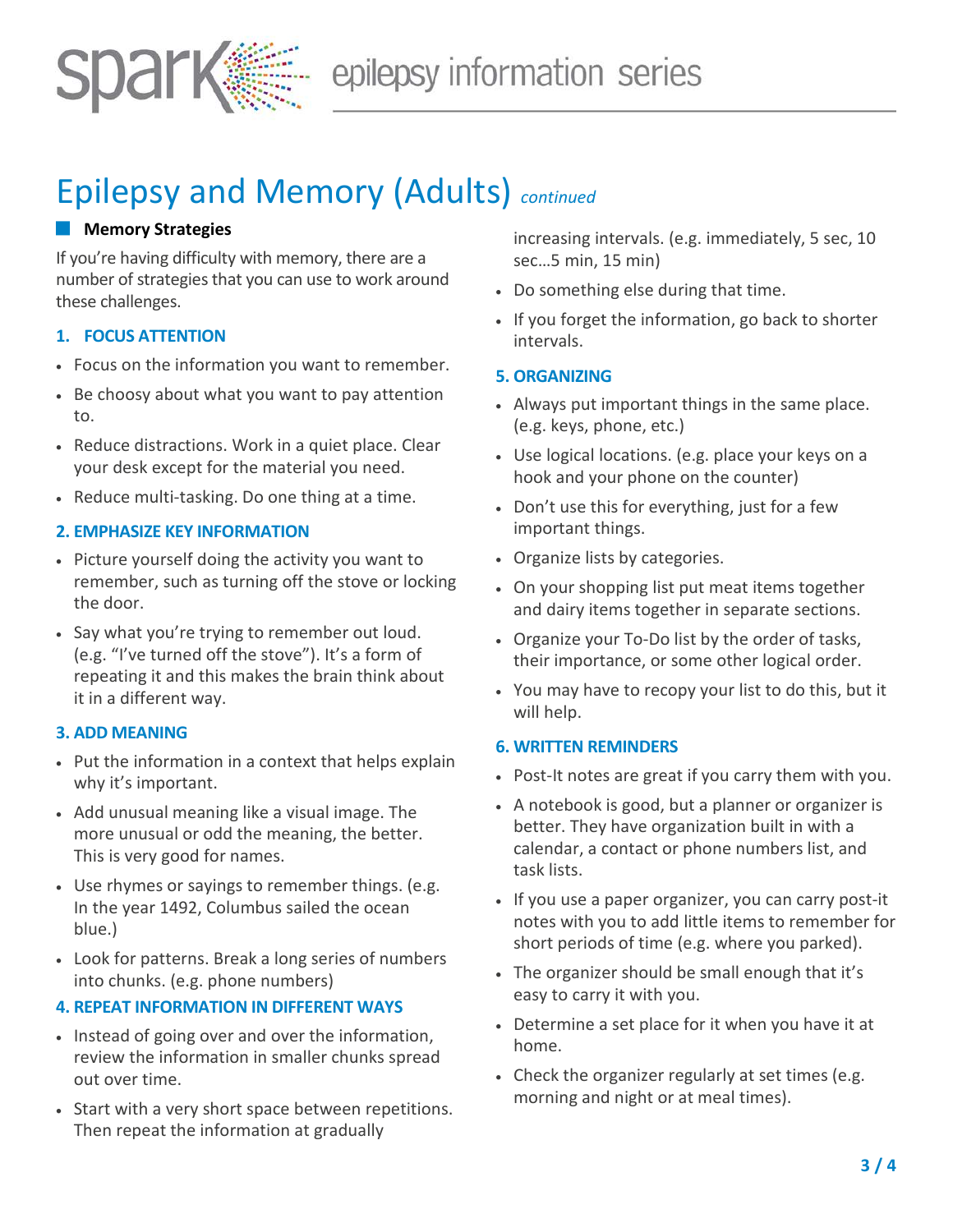

# Epilepsy and Memory (Adults) *continued*

# **Memory Strategies**

If you're having difficulty with memory, there are a number of strategies that you can use to work around these challenges.

## **1. FOCUS ATTENTION**

- Focus on the information you want to remember.
- Be choosy about what you want to pay attention to.
- Reduce distractions. Work in a quiet place. Clear your desk except for the material you need.
- Reduce multi-tasking. Do one thing at a time.

## **2. EMPHASIZE KEY INFORMATION**

- Picture yourself doing the activity you want to remember, such as turning off the stove or locking the door.
- Say what you're trying to remember out loud. (e.g. "I've turned off the stove"). It's a form of repeating it and this makes the brain think about it in a different way.

# **3. ADD MEANING**

- Put the information in a context that helps explain why it's important.
- Add unusual meaning like a visual image. The more unusual or odd the meaning, the better. This is very good for names.
- Use rhymes or sayings to remember things. (e.g. In the year 1492, Columbus sailed the ocean blue.)
- Look for patterns. Break a long series of numbers into chunks. (e.g. phone numbers)

#### **4. REPEAT INFORMATION IN DIFFERENT WAYS**

- Instead of going over and over the information, review the information in smaller chunks spread out over time.
- Start with a very short space between repetitions. Then repeat the information at gradually

increasing intervals. (e.g. immediately, 5 sec, 10 sec…5 min, 15 min)

- Do something else during that time.
- If you forget the information, go back to shorter intervals.

# **5. ORGANIZING**

- Always put important things in the same place. (e.g. keys, phone, etc.)
- Use logical locations. (e.g. place your keys on a hook and your phone on the counter)
- Don't use this for everything, just for a few important things.
- Organize lists by categories.
- On your shopping list put meat items together and dairy items together in separate sections.
- Organize your To-Do list by the order of tasks, their importance, or some other logical order.
- You may have to recopy your list to do this, but it will help.

#### **6. WRITTEN REMINDERS**

- Post-It notes are great if you carry them with you.
- A notebook is good, but a planner or organizer is better. They have organization built in with a calendar, a contact or phone numbers list, and task lists.
- If you use a paper organizer, you can carry post-it notes with you to add little items to remember for short periods of time (e.g. where you parked).
- The organizer should be small enough that it's easy to carry it with you.
- Determine a set place for it when you have it at home.
- Check the organizer regularly at set times (e.g. morning and night or at meal times).